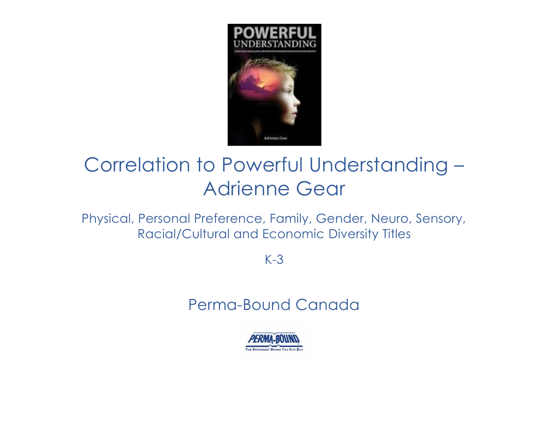

# Correlation to Powerful Understanding – Adrienne Gear

Physical, Personal Preference, Family, Gender, Neuro, Sensory, Racial/Cultural and Economic Diversity Titles

K-3

# Perma-Bound Canada

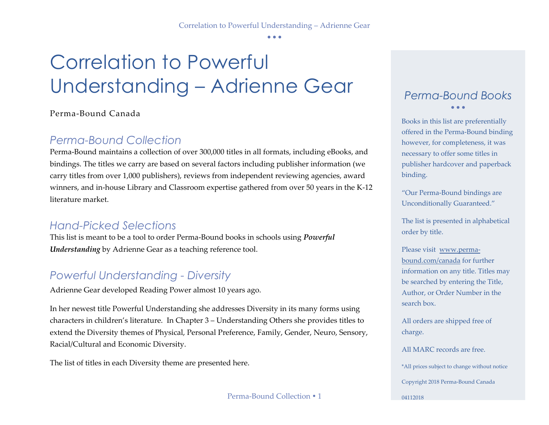• • •

# Correlation to Powerful Understanding – Adrienne Gear

### Perma-Bound Canada

# *Perma-Bound Collection*

Perma-Bound maintains a collection of over 300,000 titles in all formats, including eBooks, and bindings. The titles we carry are based on several factors including publisher information (we carry titles from over 1,000 publishers), reviews from independent reviewing agencies, award winners, and in-house Library and Classroom expertise gathered from over 50 years in the K-12 literature market.

# *Hand-Picked Selections*

This list is meant to be a tool to order Perma-Bound books in schools using *Powerful Understanding* by Adrienne Gear as a teaching reference tool.

# *Powerful Understanding - Diversity*

Adrienne Gear developed Reading Power almost 10 years ago.

In her newest title Powerful Understanding she addresses Diversity in its many forms using characters in children's literature. In Chapter 3 – Understanding Others she provides titles to extend the Diversity themes of Physical, Personal Preference, Family, Gender, Neuro, Sensory, Racial/Cultural and Economic Diversity.

The list of titles in each Diversity theme are presented here.

Perma-Bound Collection • 1

## *Perma-Bound Books* • • •

Books in this list are preferentially offered in the Perma-Bound binding however, for completeness, it was necessary to offer some titles in publisher hardcover and paperback binding.

"Our Perma-Bound bindings are Unconditionally Guaranteed."

The list is presented in alphabetical order by title.

Please visit [www.perma](http://www.perma-bound.com/)[bound.com/](http://www.perma-bound.com/)canada for further information on any title. Titles may be searched by entering the Title, Author, or Order Number in the search box.

All orders are shipped free of charge.

All MARC records are free. \*All prices subject to change without notice

Copyright 2018 Perma-Bound Canada

04112018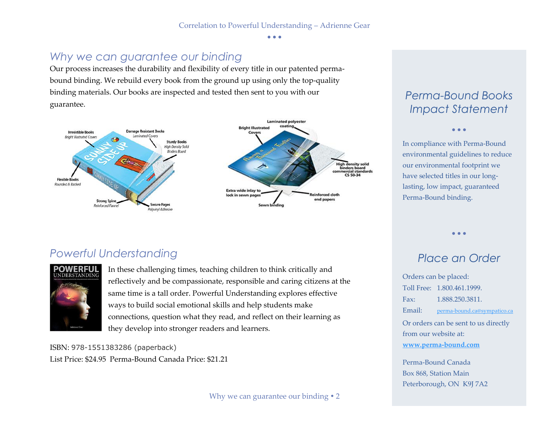• • •

# *Why we can guarantee our binding*

Our process increases the durability and flexibility of every title in our patented permabound binding. We rebuild every book from the ground up using only the top-quality binding materials. Our books are inspected and tested then sent to you with our guarantee.



# *Perma-Bound Books Impact Statement*

• • •

In compliance with Perma-Bound environmental guidelines to reduce our environmental footprint we have selected titles in our longlasting, low impact, guaranteed Perma-Bound binding.

# *Powerful Understanding*



In these challenging times, teaching children to think critically and reflectively and be compassionate, responsible and caring citizens at the same time is a tall order. Powerful Understanding explores effective ways to build social emotional skills and help students make connections, question what they read, and reflect on their learning as they develop into stronger readers and learners.

ISBN: 978-1551383286 (paperback) List Price: \$24.95 Perma-Bound Canada Price: \$21.21

# *Place an Order*

• • •

Orders can be placed: Toll Free: 1.800.461.1999. Fax: 1.888.250.3811. Email: [perma-bound.ca@sympatico.ca](mailto:perma-bound.ca@sympatico.ca) Or orders can be sent to us directly from our website at: **[www.perma-bound.com](http://www.perma-bound.com/)**

Perma-Bound Canada Box 868, Station Main Peterborough, ON K9J 7A2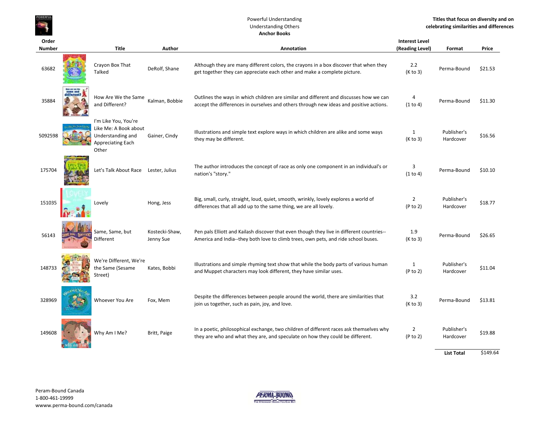

#### Powerful Understanding Understanding Others **Anchor Books**

### **Order Number Title Author Annotation Interest Level(Reading Level) Format Price** 63682 Crayon Box That TalkedDeRolf, Shane Although they are many different colors, the crayons in a box discover that when they 2.2 Perma-Bound \$21.53<br>get together they can appreciate each other and make a complete picture. (K to 3) Perma-Bound \$21.5 35884 How Are We the Same and Different?Outlines the ways in which children are similar and different and discusses how we can dimess of the differences in ourselves and others through new ideas and positive actions. (1 to 4) Perma-Bound \$11.30 (1 to 4) Rema-Bou 5092598 I'm Like You, You're Like Me: A Book about Understanding and Appreciating Each Other Illustrations and simple text explore ways in which children are alike and some ways and they may be different.<br>
Gainer, Cindy they may be different.<br>
(K to 3) Hardcover \$16.56 175704 Let's Talk About Race Lester, Julius The author introduces the concept of race as only one component in an individual's or 3 (1 to 4) Perma-Bound \$10.10 (1 to 4) Perma-Bound \$10.10 (1 to 4) Perma-Bound \$10.10 Lovely Hong, Jess Big, small, curly, straight, loud, quiet, smooth, wrinkly, lovely explores a world of 2 Publisher's \$18.77<br>differences that all add up to the same thing, we are all lovely. (P to 2) Hardcover \$18.77 56143Same, Same, but<br>Different Kostecki-Shaw, Pen pals Elliott and Kailash discover that even though they live in different countries-- 1.9 Perma-Bound \$26.65<br>Jenny Sue America and India--they both love to climb trees, own pets, and ride school buses. ( 148733We're Different, We're the Same (Sesame Street) Illustrations and simple rhyming text show that while the body parts of various human 1 Publisher's \$11.04<br>11.04 and Muppet characters may look different, they have similar uses. (P to 2) Hardcover \$11.04 328969Whoever You Are Fox, Mem Despite the differences between people around the world, there are similarities that 3.2 Perma-Bound \$13.81<br>(K to 3) Perma-Bound \$13.81 (Sto 3) perma-Bound \$13.81 149608ln a poetic, philosophical exchange, two children of different races ask themselves why and Me? Britt, Paige the<br>Why Am I Me? Britt, Paige they are who and what they are, and speculate on how they could be different. (P to

**List Total**\$149.64

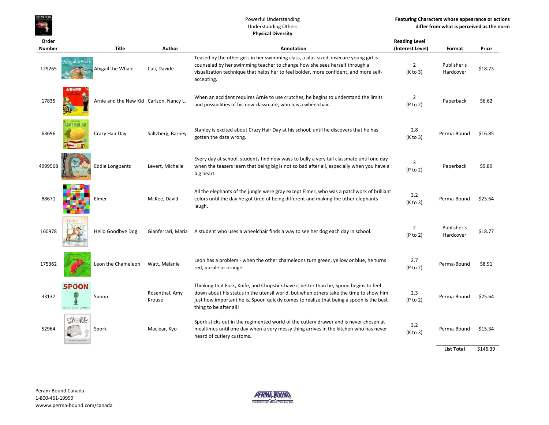#### Powerful Understanding Understanding Others **Physical Diversity**

| Order         |                                         |              |                                         |                                                                                                                                                                                                                                                                                                     | <b>Reading Level</b>       |                          |         |
|---------------|-----------------------------------------|--------------|-----------------------------------------|-----------------------------------------------------------------------------------------------------------------------------------------------------------------------------------------------------------------------------------------------------------------------------------------------------|----------------------------|--------------------------|---------|
| <b>Number</b> |                                         | <b>Title</b> | Author                                  | <b>Annotation</b>                                                                                                                                                                                                                                                                                   | (Interest Level)           | Format                   | Price   |
| 129265        | ∧bigail the Whale<br>Abigail the Whale  |              | Cali, Davide                            | Teased by the other girls in her swimming class, a plus-sized, insecure young girl is<br>counseled by her swimming teacher to change how she sees herself through a<br>visualization technique that helps her to feel bolder, more confident, and more self-<br>accepting.                          | $\overline{2}$<br>(K to 3) | Publisher's<br>Hardcover | \$18.73 |
| 17835         |                                         |              | Arnie and the New Kid Carlson, Nancy L. | When an accident requires Arnie to use crutches, he begins to understand the limits<br>and possibilities of his new classmate, who has a wheelchair.                                                                                                                                                | $\overline{2}$<br>(P to 2) | Paperback                | \$6.62  |
| 63696         | <b>CLALY HAIR DAY</b><br>Crazy Hair Day |              | Saltzberg, Barney                       | Stanley is excited about Crazy Hair Day at his school, until he discovers that he has<br>gotten the date wrong.                                                                                                                                                                                     | 2.8<br>(K to 3)            | Perma-Bound              | \$16.85 |
| 4999568       | <b>Eddie Longpants</b>                  |              | Levert, Michelle                        | Every day at school, students find new ways to bully a very tall classmate until one day<br>when the teasers learn that being big is not so bad after all, especially when you have a<br>big heart.                                                                                                 | 3<br>(P to 2)              | Paperback                | \$9.89  |
| 88671         | Elmer                                   |              | McKee, David                            | All the elephants of the jungle were gray except Elmer, who was a patchwork of brilliant<br>colors until the day he got tired of being different and making the other elephants<br>laugh.                                                                                                           | 3.2<br>(K to 3)            | Perma-Bound              | \$25.64 |
| 160978        | Hello<br>Hello Goodbye Dog              |              |                                         | Gianferrari, Maria A student who uses a wheelchair finds a way to see her dog each day in school.                                                                                                                                                                                                   | $\overline{2}$<br>(P to 2) | Publisher's<br>Hardcover | \$18.77 |
| 175362        | Leon the Chameleon                      |              | Watt, Melanie                           | Leon has a problem - when the other chameleons turn green, yellow or blue, he turns<br>red, purple or orange.                                                                                                                                                                                       | 2.7<br>(P to 2)            | Perma-Bound              | \$8.91  |
| 33137         | <b>SPOON</b><br>Spoon                   |              | Rosenthal, Amy<br>Krouse                | Thinking that Fork, Knife, and Chopstick have it better than he, Spoon begins to feel<br>down about his status in the utensil world, but when others take the time to show him<br>just how important he is, Spoon quickly comes to realize that being a spoon is the best<br>thing to be after all! | 2.3<br>(P to 2)            | Perma-Bound              | \$25.64 |
| 52964         | SPORk<br>Spork                          |              | Maclear, Kyo                            | Spork sticks out in the regimented world of the cutlery drawer and is never chosen at<br>mealtimes until one day when a very messy thing arrives in the kitchen who has never<br>heard of cutlery customs.                                                                                          | 3.2<br>(K to 3)            | Perma-Bound              | \$15.34 |

**List Total**\$146.39

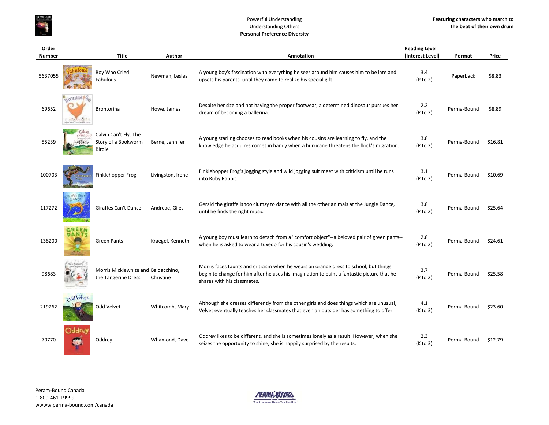

#### Powerful Understanding Understanding Others **Personal Preference Diversity**

| Order<br><b>Number</b> |                       | <b>Title</b>                                                  | Author            | Annotation                                                                                                                                                                                                         | <b>Reading Level</b><br>(Interest Level) | Format      | Price   |
|------------------------|-----------------------|---------------------------------------------------------------|-------------------|--------------------------------------------------------------------------------------------------------------------------------------------------------------------------------------------------------------------|------------------------------------------|-------------|---------|
|                        |                       |                                                               |                   |                                                                                                                                                                                                                    |                                          |             |         |
| 5637055                |                       | Boy Who Cried<br>Fabulous                                     | Newman, Leslea    | A young boy's fascination with everything he sees around him causes him to be late and<br>upsets his parents, until they come to realize his special gift.                                                         | 3.4<br>(P to 2)                          | Paperback   | \$8.83  |
| 69652                  | exontox <sub>12</sub> | <b>Brontorina</b>                                             | Howe, James       | Despite her size and not having the proper footwear, a determined dinosaur pursues her<br>dream of becoming a ballerina.                                                                                           | 2.2<br>(P to 2)                          | Perma-Bound | \$8.89  |
| 55239                  |                       | Calvin Can't Fly: The<br>Story of a Bookworm<br><b>Birdie</b> | Berne, Jennifer   | A young starling chooses to read books when his cousins are learning to fly, and the<br>knowledge he acquires comes in handy when a hurricane threatens the flock's migration.                                     | 3.8<br>(P to 2)                          | Perma-Bound | \$16.81 |
| 100703                 |                       | Finklehopper Frog                                             | Livingston, Irene | Finklehopper Frog's jogging style and wild jogging suit meet with criticism until he runs<br>into Ruby Rabbit.                                                                                                     | 3.1<br>(P to 2)                          | Perma-Bound | \$10.69 |
| 117272                 |                       | Giraffes Can't Dance                                          | Andreae, Giles    | Gerald the giraffe is too clumsy to dance with all the other animals at the Jungle Dance,<br>until he finds the right music.                                                                                       | 3.8<br>(P to 2)                          | Perma-Bound | \$25.64 |
| 138200                 | REEN<br><b>DANTS</b>  | <b>Green Pants</b>                                            | Kraegel, Kenneth  | A young boy must learn to detach from a "comfort object"--a beloved pair of green pants--<br>when he is asked to wear a tuxedo for his cousin's wedding.                                                           | 2.8<br>(P to 2)                          | Perma-Bound | \$24.61 |
| 98683                  |                       | Morris Micklewhite and Baldacchino,<br>the Tangerine Dress    | Christine         | Morris faces taunts and criticism when he wears an orange dress to school, but things<br>begin to change for him after he uses his imagination to paint a fantastic picture that he<br>shares with his classmates. | 3.7<br>(P to 2)                          | Perma-Bound | \$25.58 |
| 219262                 | OddVelver             | Odd Velvet                                                    | Whitcomb, Mary    | Although she dresses differently from the other girls and does things which are unusual,<br>Velvet eventually teaches her classmates that even an outsider has something to offer.                                 | 4.1<br>(K to 3)                          | Perma-Bound | \$23.60 |
| 70770                  | Oddrey<br>锄           | Oddrey                                                        | Whamond, Dave     | Oddrey likes to be different, and she is sometimes lonely as a result. However, when she<br>seizes the opportunity to shine, she is happily surprised by the results.                                              | 2.3<br>(K to 3)                          | Perma-Bound | \$12.79 |

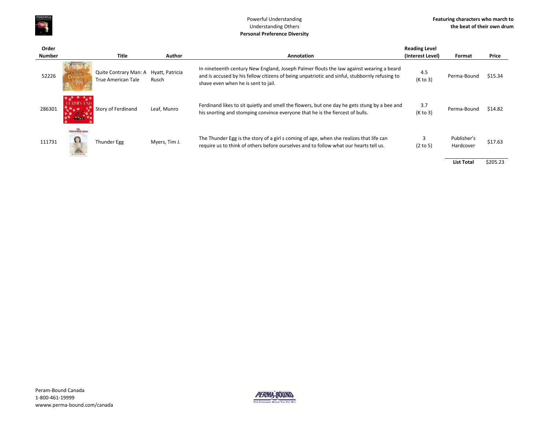

#### Powerful Understanding Understanding Others **Personal Preference Diversity**

| Order         |             |                                                                    |               |                                                                                                                                                                                                                                 | <b>Reading Level</b> |                          |          |
|---------------|-------------|--------------------------------------------------------------------|---------------|---------------------------------------------------------------------------------------------------------------------------------------------------------------------------------------------------------------------------------|----------------------|--------------------------|----------|
| <b>Number</b> |             | <b>Title</b>                                                       | Author        | Annotation                                                                                                                                                                                                                      | (Interest Level)     | Format                   | Price    |
| 52226         |             | Quite Contrary Man: A Hyatt, Patricia<br><b>True American Tale</b> | Rusch         | In nineteenth century New England, Joseph Palmer flouts the law against wearing a beard<br>and is accused by his fellow citizens of being unpatriotic and sinful, stubbornly refusing to<br>shave even when he is sent to jail. | 4.5<br>(K to 3)      | Perma-Bound              | \$15.34  |
| 286301        |             | Story of Ferdinand                                                 | Leaf, Munro   | Ferdinand likes to sit quietly and smell the flowers, but one day he gets stung by a bee and<br>his snorting and stomping convince everyone that he is the fiercest of bulls.                                                   | 3.7<br>(K to 3)      | Perma-Bound              | \$14.82  |
| 111731        | THUNDER EGG | Thunder Egg                                                        | Myers, Tim J. | The Thunder Egg is the story of a girl s coming of age, when she realizes that life can<br>require us to think of others before ourselves and to follow what our hearts tell us.                                                | (2 to 5)             | Publisher's<br>Hardcover | \$17.63  |
|               |             |                                                                    |               |                                                                                                                                                                                                                                 |                      | <b>List Total</b>        | \$205.23 |

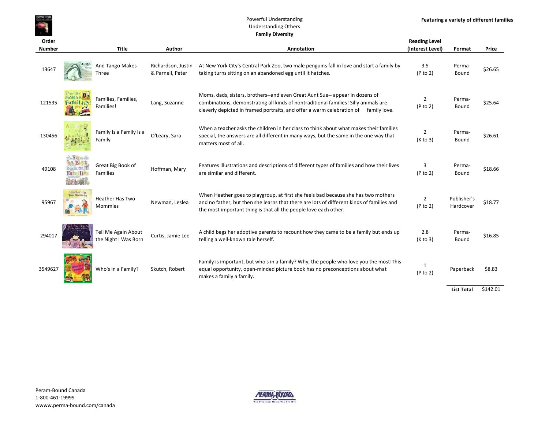#### Powerful Understanding Understanding Others **Family Diversity**

| Order<br><b>Number</b> |             | <b>Title</b>                                | Author                                 | Annotation                                                                                                                                                                                                                                                 | <b>Reading Level</b><br>(Interest Level) | Format                   | Price   |
|------------------------|-------------|---------------------------------------------|----------------------------------------|------------------------------------------------------------------------------------------------------------------------------------------------------------------------------------------------------------------------------------------------------------|------------------------------------------|--------------------------|---------|
| 13647                  |             | And Tango Makes<br>Three                    | Richardson, Justin<br>& Parnell, Peter | At New York City's Central Park Zoo, two male penguins fall in love and start a family by<br>taking turns sitting on an abandoned egg until it hatches.                                                                                                    | 3.5<br>(P to 2)                          | Perma-<br>Bound          | \$26.65 |
| 121535                 |             | Families, Families,<br>Families!            | Lang, Suzanne                          | Moms, dads, sisters, brothers--and even Great Aunt Sue-- appear in dozens of<br>combinations, demonstrating all kinds of nontraditional families! Silly animals are<br>cleverly depicted in framed portraits, and offer a warm celebration of family love. | 2<br>(P to 2)                            | Perma-<br>Bound          | \$25.64 |
| 130456                 |             | Family Is a Family Is a<br>Family           | O'Leary, Sara                          | When a teacher asks the children in her class to think about what makes their families<br>special, the answers are all different in many ways, but the same in the one way that<br>matters most of all.                                                    | $\overline{2}$<br>(K to 3)               | Perma-<br>Bound          | \$26.61 |
| 49108                  |             | Great Big Book of<br>Families               | Hoffman, Mary                          | Features illustrations and descriptions of different types of families and how their lives<br>are similar and different.                                                                                                                                   | 3<br>(P to 2)                            | Perma-<br>Bound          | \$18.66 |
| 95967                  | Heather Has | <b>Heather Has Two</b><br><b>Mommies</b>    | Newman, Leslea                         | When Heather goes to playgroup, at first she feels bad because she has two mothers<br>and no father, but then she learns that there are lots of different kinds of families and<br>the most important thing is that all the people love each other.        | $\overline{2}$<br>(P to 2)               | Publisher's<br>Hardcover | \$18.77 |
| 294017                 |             | Tell Me Again About<br>the Night I Was Born | Curtis. Jamie Lee                      | A child begs her adoptive parents to recount how they came to be a family but ends up<br>telling a well-known tale herself.                                                                                                                                | 2.8<br>(K to 3)                          | Perma-<br>Bound          | \$16.85 |
| 3549627                |             | Who's in a Family?                          | Skutch, Robert                         | Family is important, but who's in a family? Why, the people who love you the most! This<br>equal opportunity, open-minded picture book has no preconceptions about what<br>makes a family a family.                                                        | 1<br>(P to 2)                            | Paperback                | \$8.83  |

**List Total** \$142.01



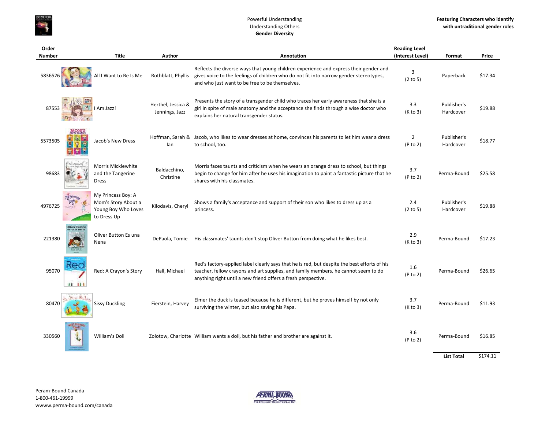

#### Powerful Understanding Understanding Others **Gender Diversity**

| Order         |                               |                                                                                 |                                      |                                                                                                                                                                                                                                                     | <b>Reading Level</b>       |                          |                |
|---------------|-------------------------------|---------------------------------------------------------------------------------|--------------------------------------|-----------------------------------------------------------------------------------------------------------------------------------------------------------------------------------------------------------------------------------------------------|----------------------------|--------------------------|----------------|
| <b>Number</b> |                               | <b>Title</b>                                                                    | Author                               | Annotation                                                                                                                                                                                                                                          | (Interest Level)           | Format                   | Price          |
| 5836526       |                               | All I Want to Be Is Me                                                          | Rothblatt, Phyllis                   | Reflects the diverse ways that young children experience and express their gender and<br>gives voice to the feelings of children who do not fit into narrow gender stereotypes,<br>and who just want to be free to be themselves.                   | 3<br>(2 to 5)              | Paperback                | \$17.34        |
| 87553         |                               | I Am Jazz!                                                                      | Herthel, Jessica &<br>Jennings, Jazz | Presents the story of a transgender child who traces her early awareness that she is a<br>girl in spite of male anatomy and the acceptance she finds through a wise doctor who<br>explains her natural transgender status.                          | 3.3<br>(K to 3)            | Publisher's<br>Hardcover | \$19.88        |
| 5573505       |                               | Jacob's New Dress                                                               | lan                                  | Hoffman, Sarah & Jacob, who likes to wear dresses at home, convinces his parents to let him wear a dress<br>to school, too.                                                                                                                         | $\overline{2}$<br>(P to 2) | Publisher's<br>Hardcover | \$18.77        |
| 98683         |                               | Morris Micklewhite<br>and the Tangerine<br>Dress                                | Baldacchino,<br>Christine            | Morris faces taunts and criticism when he wears an orange dress to school, but things<br>begin to change for him after he uses his imagination to paint a fantastic picture that he<br>shares with his classmates.                                  | 3.7<br>(P to 2)            | Perma-Bound              | \$25.58        |
| 4976725       |                               | My Princess Boy: A<br>Mom's Story About a<br>Young Boy Who Loves<br>to Dress Up | Kilodavis, Cheryl                    | Shows a family's acceptance and support of their son who likes to dress up as a<br>princess.                                                                                                                                                        | 2.4<br>(2 to 5)            | Publisher's<br>Hardcover | \$19.88        |
| 221380        | Oliver Buttor<br>es una turna | Oliver Button Es una<br>Nena                                                    | DePaola, Tomie                       | His classmates' taunts don't stop Oliver Button from doing what he likes best.                                                                                                                                                                      | 2.9<br>(K to 3)            | Perma-Bound              | \$17.23        |
| 95070         | $\blacksquare$                | Red: A Crayon's Story                                                           | Hall, Michael                        | Red's factory-applied label clearly says that he is red, but despite the best efforts of his<br>teacher, fellow crayons and art supplies, and family members, he cannot seem to do<br>anything right until a new friend offers a fresh perspective. | 1.6<br>(P to 2)            | Perma-Bound              | \$26.65        |
| 80470         |                               | <b>Sissy Duckling</b>                                                           | Fierstein, Harvey                    | Elmer the duck is teased because he is different, but he proves himself by not only<br>surviving the winter, but also saving his Papa.                                                                                                              | 3.7<br>(K to 3)            | Perma-Bound              | \$11.93        |
| 330560        |                               | William's Doll                                                                  |                                      | Zolotow, Charlotte William wants a doll, but his father and brother are against it.                                                                                                                                                                 | 3.6<br>(P to 2)            | Perma-Bound              | \$16.85        |
|               |                               |                                                                                 |                                      |                                                                                                                                                                                                                                                     |                            | 1.4.7.4                  | <b>CATA 11</b> |

**List Total**\$174.11

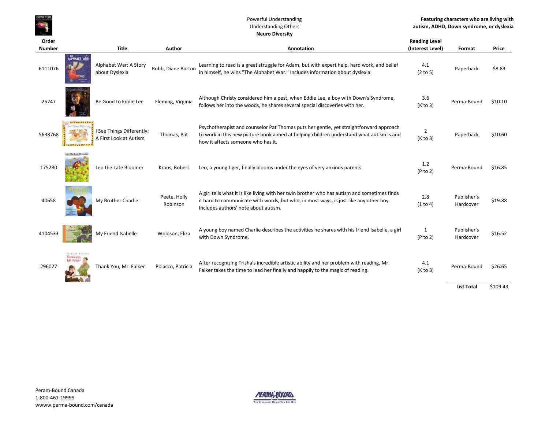#### Powerful Understanding Understanding Others **Neuro Diversity**

| Order<br><b>Number</b> |                                                | <b>Title</b>                                        | <b>Author</b>            | Annotation                                                                                                                                                                                                                    | <b>Reading Level</b><br>(Interest Level) | Format                   | Price    |
|------------------------|------------------------------------------------|-----------------------------------------------------|--------------------------|-------------------------------------------------------------------------------------------------------------------------------------------------------------------------------------------------------------------------------|------------------------------------------|--------------------------|----------|
| 6111076                | ALPHASET WAR                                   | Alphabet War: A Story<br>about Dyslexia             | Robb, Diane Burton       | Learning to read is a great struggle for Adam, but with expert help, hard work, and belief<br>in himself, he wins "The Alphabet War." Includes information about dyslexia.                                                    | 4.1<br>(2 to 5)                          | Paperback                | \$8.83   |
| 25247                  |                                                | Be Good to Eddie Lee                                | Fleming, Virginia        | Although Christy considered him a pest, when Eddie Lee, a boy with Down's Syndrome,<br>follows her into the woods, he shares several special discoveries with her.                                                            | 3.6<br>(K to 3)                          | Perma-Bound              | \$10.10  |
| 5638768                |                                                | I See Things Differently:<br>A First Look at Autism | Thomas, Pat              | Psychotherapist and counselor Pat Thomas puts her gentle, yet straightforward approach<br>to work in this new picture book aimed at helping children understand what autism is and<br>how it affects someone who has it.      | 2<br>(K to 3)                            | Paperback                | \$10.60  |
| 175280                 | anyther Euro Blooder                           | Leo the Late Bloomer                                | Kraus, Robert            | Leo, a young tiger, finally blooms under the eyes of very anxious parents.                                                                                                                                                    | 1.2<br>(P to 2)                          | Perma-Bound              | \$16.85  |
| 40658                  |                                                | My Brother Charlie                                  | Peete, Holly<br>Robinson | A girl tells what it is like living with her twin brother who has autism and sometimes finds<br>it hard to communicate with words, but who, in most ways, is just like any other boy.<br>Includes authors' note about autism. | 2.8<br>(1 to 4)                          | Publisher's<br>Hardcover | \$19.88  |
| 4104533                |                                                | My Friend Isabelle                                  | Woloson, Eliza           | A young boy named Charlie describes the activities he shares with his friend Isabelle, a girl<br>with Down Syndrome.                                                                                                          | 1<br>(P to 2)                            | Publisher's<br>Hardcover | \$16.52  |
| 296027                 | Fairfield Posselbk<br>Texas you.<br>Mr. Falker | Thank You, Mr. Falker                               | Polacco, Patricia        | After recognizing Trisha's incredible artistic ability and her problem with reading, Mr.<br>Falker takes the time to lead her finally and happily to the magic of reading.                                                    | 4.1<br>(K to 3)                          | Perma-Bound              | \$26.65  |
|                        |                                                |                                                     |                          |                                                                                                                                                                                                                               |                                          | <b>List Total</b>        | \$109.43 |

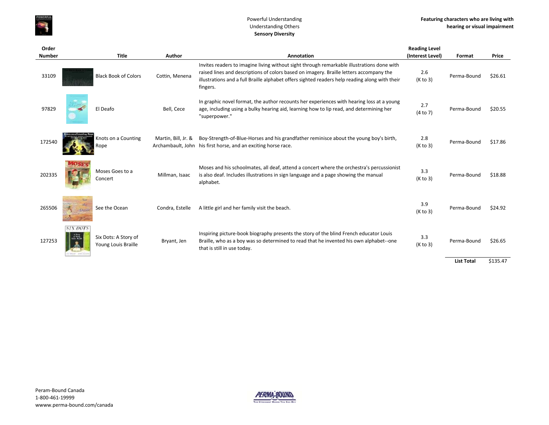

#### Powerful Understanding Understanding Others **Sensory Diversity**

| Order<br><b>Number</b> |          | <b>Title</b>                                | Author              | <b>Annotation</b>                                                                                                                                                                                                                                                                                   | <b>Reading Level</b><br>(Interest Level) | Format            | Price    |
|------------------------|----------|---------------------------------------------|---------------------|-----------------------------------------------------------------------------------------------------------------------------------------------------------------------------------------------------------------------------------------------------------------------------------------------------|------------------------------------------|-------------------|----------|
| 33109                  |          | <b>Black Book of Colors</b>                 | Cottin, Menena      | Invites readers to imagine living without sight through remarkable illustrations done with<br>raised lines and descriptions of colors based on imagery. Braille letters accompany the<br>illustrations and a full Braille alphabet offers sighted readers help reading along with their<br>fingers. | 2.6<br>(K to 3)                          | Perma-Bound       | \$26.61  |
| 97829                  |          | El Deafo                                    | Bell, Cece          | In graphic novel format, the author recounts her experiences with hearing loss at a young<br>age, including using a bulky hearing aid, learning how to lip read, and determining her<br>"superpower."                                                                                               | 2.7<br>(4 to 7)                          | Perma-Bound       | \$20.55  |
| 172540                 |          | Knots on a Counting<br>Rope                 | Martin, Bill, Jr. & | Boy-Strength-of-Blue-Horses and his grandfather reminisce about the young boy's birth,<br>Archambault, John his first horse, and an exciting horse race.                                                                                                                                            | 2.8<br>(K to 3)                          | Perma-Bound       | \$17.86  |
| 202335                 |          | Moses Goes to a<br>Concert                  | Millman, Isaac      | Moses and his schoolmates, all deaf, attend a concert where the orchestra's percussionist<br>is also deaf. Includes illustrations in sign language and a page showing the manual<br>alphabet.                                                                                                       | 3.3<br>(K to 3)                          | Perma-Bound       | \$18.88  |
| 265506                 | Christin | See the Ocean                               | Condra, Estelle     | A little girl and her family visit the beach.                                                                                                                                                                                                                                                       | 3.9<br>(K to 3)                          | Perma-Bound       | \$24.92  |
| 127253                 | SIX DOTS | Six Dots: A Story of<br>Young Louis Braille | Bryant, Jen         | Inspiring picture-book biography presents the story of the blind French educator Louis<br>Braille, who as a boy was so determined to read that he invented his own alphabet--one<br>that is still in use today.                                                                                     | 3.3<br>(K to 3)                          | Perma-Bound       | \$26.65  |
|                        |          |                                             |                     |                                                                                                                                                                                                                                                                                                     |                                          | <b>List Total</b> | \$135.47 |

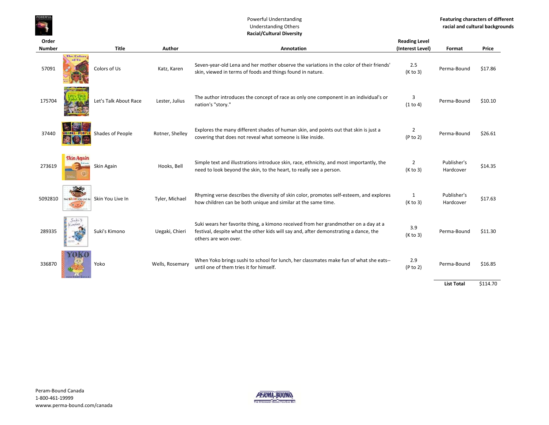#### Powerful Understanding Understanding Others **Racial/Cultural Diversity**

**Order** 

| Order         |                            |                       |                 |                                                                                                                                                                                                     | <b>Reading Level</b> |                          |          |
|---------------|----------------------------|-----------------------|-----------------|-----------------------------------------------------------------------------------------------------------------------------------------------------------------------------------------------------|----------------------|--------------------------|----------|
| <b>Number</b> |                            | <b>Title</b>          | Author          | Annotation                                                                                                                                                                                          | (Interest Level)     | Format                   | Price    |
| 57091         | <b>The Colors</b><br>of Us | Colors of Us          | Katz, Karen     | Seven-year-old Lena and her mother observe the variations in the color of their friends'<br>skin, viewed in terms of foods and things found in nature.                                              | 2.5<br>(K to 3)      | Perma-Bound              | \$17.86  |
| 175704        |                            | Let's Talk About Race | Lester, Julius  | The author introduces the concept of race as only one component in an individual's or<br>nation's "story."                                                                                          | 3<br>(1 to 4)        | Perma-Bound              | \$10.10  |
| 37440         | <b>SHADES - PEOPLE</b>     | Shades of People      | Rotner, Shelley | Explores the many different shades of human skin, and points out that skin is just a<br>covering that does not reveal what someone is like inside.                                                  | 2<br>(P to 2)        | Perma-Bound              | \$26.61  |
| 273619        | <b>Skin Again</b>          | Skin Again            | Hooks, Bell     | Simple text and illustrations introduce skin, race, ethnicity, and most importantly, the<br>need to look beyond the skin, to the heart, to really see a person.                                     | 2<br>(K to 3)        | Publisher's<br>Hardcover | \$14.35  |
| 5092810       | THE SICITIYOU LIVE IN      | Skin You Live In      | Tyler, Michael  | Rhyming verse describes the diversity of skin color, promotes self-esteem, and explores<br>how children can be both unique and similar at the same time.                                            | 1<br>(K to 3)        | Publisher's<br>Hardcover | \$17.63  |
| 289335        | SukiS<br>Kimono            | Suki's Kimono         | Uegaki, Chieri  | Suki wears her favorite thing, a kimono received from her grandmother on a day at a<br>festival, despite what the other kids will say and, after demonstrating a dance, the<br>others are won over. | 3.9<br>(K to 3)      | Perma-Bound              | \$11.30  |
| 336870        |                            | Yoko                  | Wells, Rosemary | When Yoko brings sushi to school for lunch, her classmates make fun of what she eats--<br>until one of them tries it for himself.                                                                   | 2.9<br>(P to 2)      | Perma-Bound              | \$16.85  |
|               |                            |                       |                 |                                                                                                                                                                                                     |                      | <b>List Total</b>        | \$114.70 |

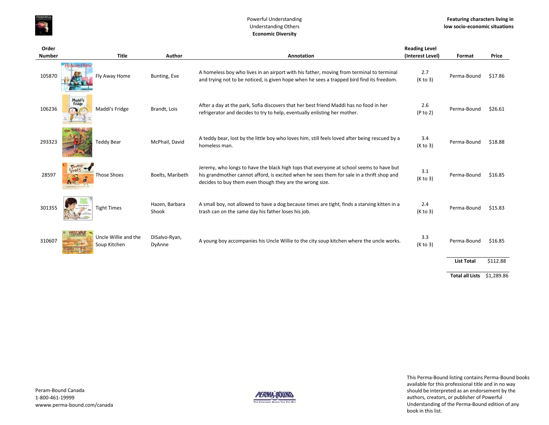

#### Powerful Understanding Understanding Others **Economic Diversity**

| Order         |                                       |                         |                                                                                                                                                                                                                                                  | <b>Reading Level</b> |                        |            |
|---------------|---------------------------------------|-------------------------|--------------------------------------------------------------------------------------------------------------------------------------------------------------------------------------------------------------------------------------------------|----------------------|------------------------|------------|
| <b>Number</b> | <b>Title</b>                          | Author                  | Annotation                                                                                                                                                                                                                                       | (Interest Level)     | Format                 | Price      |
| 105870        | <b>LEVAUXIVI BUT</b><br>Fly Away Home | Bunting, Eve            | A homeless boy who lives in an airport with his father, moving from terminal to terminal<br>and trying not to be noticed, is given hope when he sees a trapped bird find its freedom.                                                            | 2.7<br>(K to 3)      | Perma-Bound            | \$17.86    |
| 106236        | Maddi's<br>Fridge<br>Maddi's Fridge   | Brandt, Lois            | After a day at the park, Sofia discovers that her best friend Maddi has no food in her<br>refrigerator and decides to try to help, eventually enlisting her mother.                                                                              | 2.6<br>(P to 2)      | Perma-Bound            | \$26.61    |
| 293323        | <b>Teddy Bear</b>                     | McPhail, David          | A teddy bear, lost by the little boy who loves him, still feels loved after being rescued by a<br>homeless man.                                                                                                                                  | 3.4<br>(K to 3)      | Perma-Bound            | \$18.88    |
| 28597         | THOSE<br>Those Shoes                  | Boelts, Maribeth        | Jeremy, who longs to have the black high tops that everyone at school seems to have but<br>his grandmother cannot afford, is excited when he sees them for sale in a thrift shop and<br>decides to buy them even though they are the wrong size. | 3.1<br>(K to 3)      | Perma-Bound            | \$16.85    |
| 301355        | <b>Tight Times</b>                    | Hazen, Barbara<br>Shook | A small boy, not allowed to have a dog because times are tight, finds a starving kitten in a<br>trash can on the same day his father loses his job.                                                                                              | 2.4<br>(K to 3)      | Perma-Bound            | \$15.83    |
| 310607        | Uncle Willie and the<br>Soup Kitchen  | DiSalvo-Ryan,<br>DyAnne | A young boy accompanies his Uncle Willie to the city soup kitchen where the uncle works.                                                                                                                                                         | 3.3<br>(K to 3)      | Perma-Bound            | \$16.85    |
|               |                                       |                         |                                                                                                                                                                                                                                                  |                      | <b>List Total</b>      | \$112.88   |
|               |                                       |                         |                                                                                                                                                                                                                                                  |                      | <b>Total all Lists</b> | \$1,289.86 |